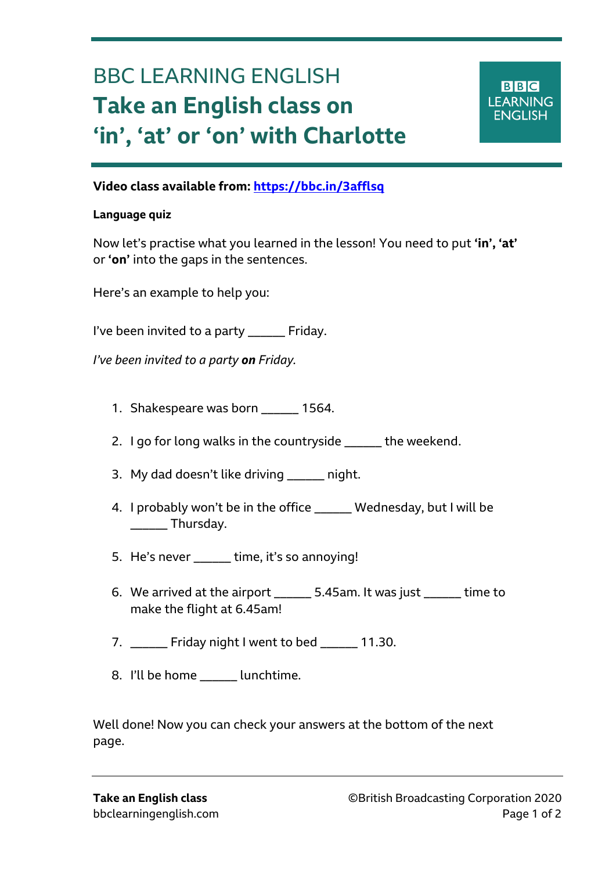# BBC LEARNING ENGLISH **Take an English class on 'in', 'at' or 'on' with Charlotte**



## **Video class available from: <https://bbc.in/3afflsq>**

#### **Language quiz**

Ξ

Now let's practise what you learned in the lesson! You need to put **'in', 'at'** or **'on'** into the gaps in the sentences.

Here's an example to help you:

I've been invited to a party \_\_\_\_\_\_ Friday.

*I've been invited to a party on Friday.*

- 1. Shakespeare was born \_\_\_\_\_\_ 1564.
- 2. I go for long walks in the countryside \_\_\_\_\_\_ the weekend.
- 3. My dad doesn't like driving hight.
- 4. I probably won't be in the office \_\_\_\_\_\_ Wednesday, but I will be \_\_\_\_\_\_ Thursday.
- 5. He's never \_\_\_\_\_\_ time, it's so annoying!
- 6. We arrived at the airport \_\_\_\_\_\_ 5.45am. It was just \_\_\_\_\_\_ time to make the flight at 6.45am!
- 7. Friday night I went to bed 11.30.
- 8. I'll be home lunchtime.

Well done! Now you can check your answers at the bottom of the next page.